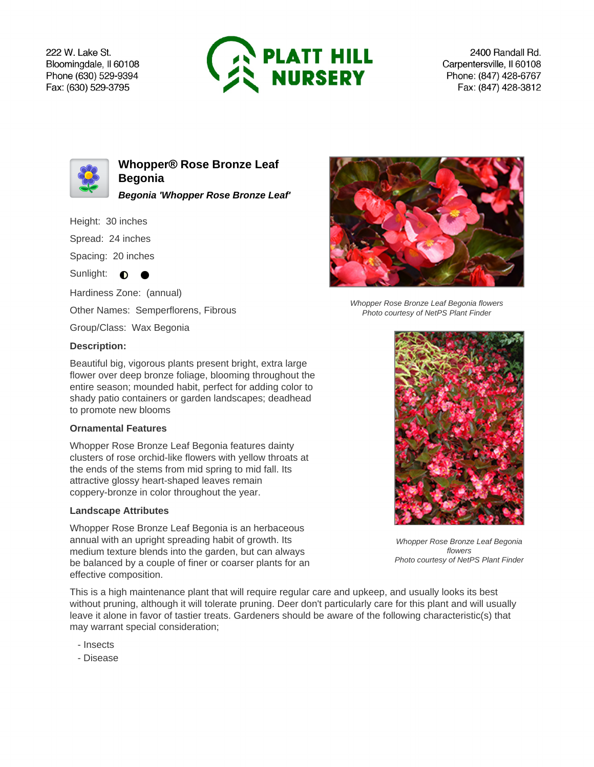222 W. Lake St. Bloomingdale, Il 60108 Phone (630) 529-9394 Fax: (630) 529-3795



2400 Randall Rd. Carpentersville, Il 60108 Phone: (847) 428-6767 Fax: (847) 428-3812



**Whopper® Rose Bronze Leaf Begonia Begonia 'Whopper Rose Bronze Leaf'**

Height: 30 inches

Spread: 24 inches

Spacing: 20 inches

Sunlight:  $\bullet$  $\bullet$ 

Hardiness Zone: (annual)

Other Names: Semperflorens, Fibrous

Group/Class: Wax Begonia

## **Description:**

Beautiful big, vigorous plants present bright, extra large flower over deep bronze foliage, blooming throughout the entire season; mounded habit, perfect for adding color to shady patio containers or garden landscapes; deadhead to promote new blooms

## **Ornamental Features**

Whopper Rose Bronze Leaf Begonia features dainty clusters of rose orchid-like flowers with yellow throats at the ends of the stems from mid spring to mid fall. Its attractive glossy heart-shaped leaves remain coppery-bronze in color throughout the year.

## **Landscape Attributes**

Whopper Rose Bronze Leaf Begonia is an herbaceous annual with an upright spreading habit of growth. Its medium texture blends into the garden, but can always be balanced by a couple of finer or coarser plants for an effective composition.

This is a high maintenance plant that will require regular care and upkeep, and usually looks its best without pruning, although it will tolerate pruning. Deer don't particularly care for this plant and will usually leave it alone in favor of tastier treats. Gardeners should be aware of the following characteristic(s) that may warrant special consideration;

- Insects
- Disease



Whopper Rose Bronze Leaf Begonia flowers Photo courtesy of NetPS Plant Finder



Whopper Rose Bronze Leaf Begonia flowers Photo courtesy of NetPS Plant Finder